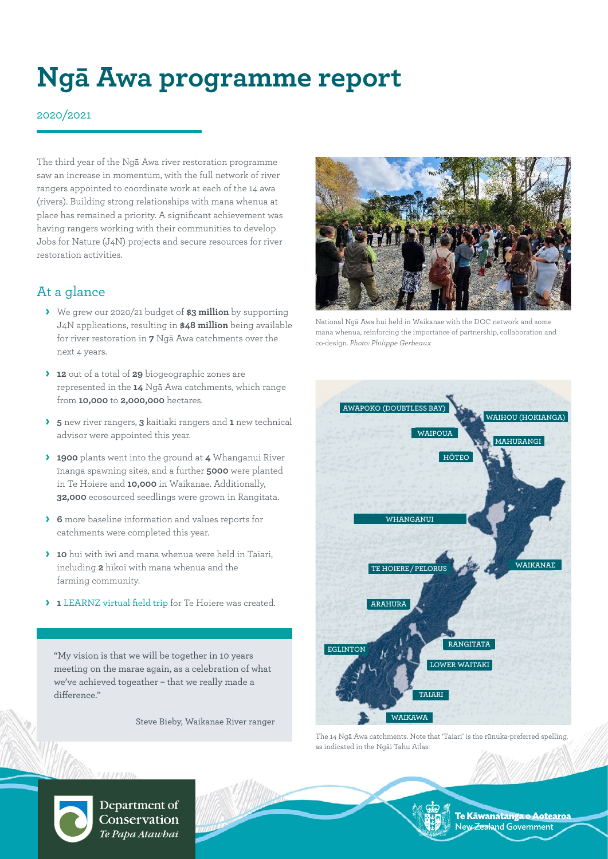# **Ngā Awa programme report**

#### 2020/2021

The third year of the Ngā Awa river restoration programme saw an increase in momentum, with the full network of river rangers appointed to coordinate work at each of the 14 awa (rivers). Building strong relationships with mana whenua at place has remained a priority. A significant achievement was having rangers working with their communities to develop Jobs for Nature (J4N) projects and secure resources for river restoration activities.

# At a glance

- **›** We grew our 2020/21 budget of **\$3 million** by supporting J4N applications, resulting in **\$48 million** being available for river restoration in **7** Ngā Awa catchments over the next 4 years.
- **› 12** out of a total of **29** biogeographic zones are represented in the **14** Ngā Awa catchments, which range from **10,000** to **2,000,000** hectares.
- **› 5** new river rangers, **3** kaitiaki rangers and **1** new technical advisor were appointed this year.
- **› 1900** plants went into the ground at **4** Whanganui River īnanga spawning sites, and a further **5000** were planted in Te Hoiere and **10,000** in Waikanae. Additionally, **32,000** ecosourced seedlings were grown in Rangitata.
- **› 6** more baseline information and values reports for catchments were completed this year.
- **› 10** hui with iwi and mana whenua were held in Taiari, including **2** hīkoi with mana whenua and the farming community.
- **› 1** [LEARNZ virtual field trip](https://www.learnz.org.nz/rivers211/discover/te-hoiere-pelorus-catchment) for Te Hoiere was created.

"My vision is that we will be together in 10 years meeting on the marae again, as a celebration of what we've achieved togeather – that we really made a difference."

Steve Bieby, Waikanae River ranger



National Ngā Awa hui held in Waikanae with the DOC network and some mana whenua, reinforcing the importance of partnership, collaboration and co-design. *Photo: Philippe Gerbeaux* 



The 14 Ngā Awa catchments. Note that 'Taiari' is the rūnuka-preferred spelling, as indicated in the Ngāi Tahu Atlas.



Department of Conservation Te Papa Atawbai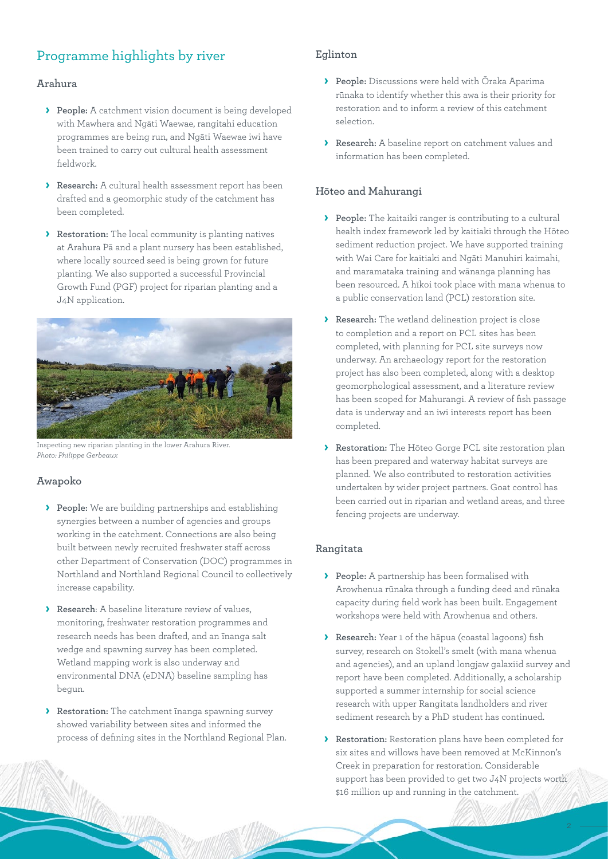# Programme highlights by river

#### **Arahura**

- **› People:** A catchment vision document is being developed with Mawhera and Ngāti Waewae, rangitahi education programmes are being run, and Ngāti Waewae iwi have been trained to carry out cultural health assessment fieldwork.
- **› Research:** A cultural health assessment report has been drafted and a geomorphic study of the catchment has been completed.
- **› Restoration:** The local community is planting natives at Arahura Pā and a plant nursery has been established, where locally sourced seed is being grown for future planting. We also supported a successful Provincial Growth Fund (PGF) project for riparian planting and a J4N application.



Inspecting new riparian planting in the lower Arahura River. *Photo: Philippe Gerbeaux*

#### **Awapoko**

- **› People:** We are building partnerships and establishing synergies between a number of agencies and groups working in the catchment. Connections are also being built between newly recruited freshwater staff across other Department of Conservation (DOC) programmes in Northland and Northland Regional Council to collectively increase capability.
- **› Research**: A baseline literature review of values, monitoring, freshwater restoration programmes and research needs has been drafted, and an īnanga salt wedge and spawning survey has been completed. Wetland mapping work is also underway and environmental DNA (eDNA) baseline sampling has begun.
- **› Restoration:** The catchment īnanga spawning survey showed variability between sites and informed the process of defining sites in the Northland Regional Plan.

# **Eglinton**

- **› People:** Discussions were held with Ōraka Aparima rūnaka to identify whether this awa is their priority for restoration and to inform a review of this catchment selection.
- **› Research:** A baseline report on catchment values and information has been completed.

# **Hōteo and Mahurangi**

- **› People:** The kaitaiki ranger is contributing to a cultural health index framework led by kaitiaki through the Hōteo sediment reduction project. We have supported training with Wai Care for kaitiaki and Ngāti Manuhiri kaimahi, and maramataka training and wānanga planning has been resourced. A hīkoi took place with mana whenua to a public conservation land (PCL) restoration site.
- **› Research:** The wetland delineation project is close to completion and a report on PCL sites has been completed, with planning for PCL site surveys now underway. An archaeology report for the restoration project has also been completed, along with a desktop geomorphological assessment, and a literature review has been scoped for Mahurangi. A review of fish passage data is underway and an iwi interests report has been completed.
- **› Restoration:** The Hōteo Gorge PCL site restoration plan has been prepared and waterway habitat surveys are planned. We also contributed to restoration activities undertaken by wider project partners. Goat control has been carried out in riparian and wetland areas, and three fencing projects are underway.

#### **Rangitata**

- **› People:** A partnership has been formalised with Arowhenua rūnaka through a funding deed and rūnaka capacity during field work has been built. Engagement workshops were held with Arowhenua and others.
- **› Research:** Year 1 of the hāpua (coastal lagoons) fish survey, research on Stokell's smelt (with mana whenua and agencies), and an upland longjaw galaxiid survey and report have been completed. Additionally, a scholarship supported a summer internship for social science research with upper Rangitata landholders and river sediment research by a PhD student has continued.
- **› Restoration:** Restoration plans have been completed for six sites and willows have been removed at McKinnon's Creek in preparation for restoration. Considerable support has been provided to get two J4N projects worth \$16 million up and running in the catchment.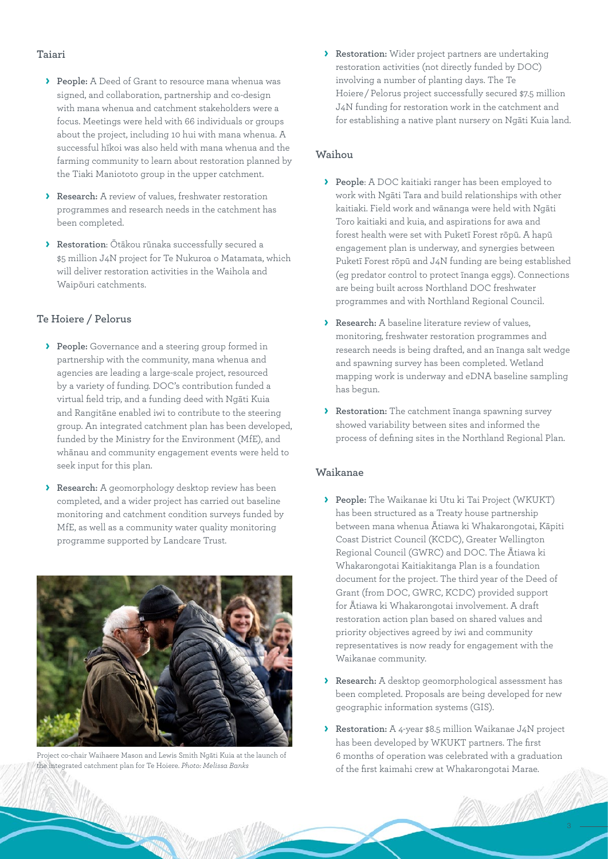#### **Taiari**

- **› People:** A Deed of Grant to resource mana whenua was signed, and collaboration, partnership and co-design with mana whenua and catchment stakeholders were a focus. Meetings were held with 66 individuals or groups about the project, including 10 hui with mana whenua. A successful hīkoi was also held with mana whenua and the farming community to learn about restoration planned by the Tiaki Maniototo group in the upper catchment.
- **› Research:** A review of values, freshwater restoration programmes and research needs in the catchment has been completed.
- **› Restoration**: Ōtākou rūnaka successfully secured a \$5 million J4N project for Te Nukuroa o Matamata, which will deliver restoration activities in the Waihola and Waipōuri catchments.

#### **Te Hoiere / Pelorus**

- **› People:** Governance and a steering group formed in partnership with the community, mana whenua and agencies are leading a large-scale project, resourced by a variety of funding. DOC's contribution funded a virtual field trip, and a funding deed with Ngāti Kuia and Rangitāne enabled iwi to contribute to the steering group. An integrated catchment plan has been developed, funded by the Ministry for the Environment (MfE), and whānau and community engagement events were held to seek input for this plan.
- **› Research:** A geomorphology desktop review has been completed, and a wider project has carried out baseline monitoring and catchment condition surveys funded by MfE, as well as a community water quality monitoring programme supported by Landcare Trust.



Project co-chair Waihaere Mason and Lewis Smith Ngāti Kuia at the launch of the integrated catchment plan for Te Hoiere. *Photo: Melissa Banks*

**› Restoration:** Wider project partners are undertaking restoration activities (not directly funded by DOC) involving a number of planting days. The Te Hoiere / Pelorus project successfully secured \$7.5 million J4N funding for restoration work in the catchment and for establishing a native plant nursery on Ngāti Kuia land.

# **Waihou**

- **› People**: A DOC kaitiaki ranger has been employed to work with Ngāti Tara and build relationships with other kaitiaki. Field work and wānanga were held with Ngāti Toro kaitiaki and kuia, and aspirations for awa and forest health were set with Puketī Forest rōpū. A hapū engagement plan is underway, and synergies between Puketī Forest rōpū and J4N funding are being established (eg predator control to protect īnanga eggs). Connections are being built across Northland DOC freshwater programmes and with Northland Regional Council.
- **› Research:** A baseline literature review of values, monitoring, freshwater restoration programmes and research needs is being drafted, and an īnanga salt wedge and spawning survey has been completed. Wetland mapping work is underway and eDNA baseline sampling has begun.
- **› Restoration:** The catchment īnanga spawning survey showed variability between sites and informed the process of defining sites in the Northland Regional Plan.

#### **Waikanae**

- **› People:** The Waikanae ki Utu ki Tai Project (WKUKT) has been structured as a Treaty house partnership between mana whenua Ātiawa ki Whakarongotai, Kāpiti Coast District Council (KCDC), Greater Wellington Regional Council (GWRC) and DOC. The Ātiawa ki Whakarongotai Kaitiakitanga Plan is a foundation document for the project. The third year of the Deed of Grant (from DOC, GWRC, KCDC) provided support for Ātiawa ki Whakarongotai involvement. A draft restoration action plan based on shared values and priority objectives agreed by iwi and community representatives is now ready for engagement with the Waikanae community.
- **› Research:** A desktop geomorphological assessment has been completed. Proposals are being developed for new geographic information systems (GIS).
- **› Restoration:** A 4-year \$8.5 million Waikanae J4N project has been developed by WKUKT partners. The first 6 months of operation was celebrated with a graduation of the first kaimahi crew at Whakarongotai Marae.